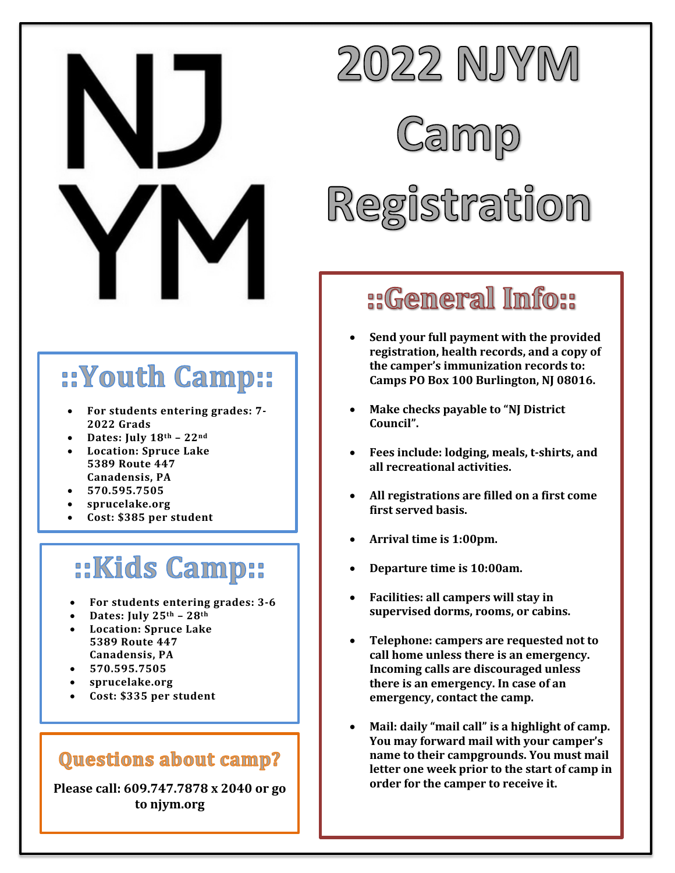

## ::Youth Camp::

- For students entering grades: 7-**2022 Grads**
- **Dates: July 18th – 22nd**
- **Location: Spruce Lake 5389 Route 447 Canadensis, PA**
- **570.595.7505**
- **sprucelake.org**
- **Cost: \$385 per student**

### **::Kids Camp::**

- For students entering grades: 3-6
- **Dates: July 25th – 28th**
- **Location: Spruce Lake 5389 Route 447 Canadensis, PA**
- **570.595.7505**
- **sprucelake.org**
- **Cost: \$335 per student**

#### **Questions about camp?**

Please call: 609.747.7878 x 2040 or go **to njym.org**



#### ::General Info::

- **Send your full payment with the provided** registration, health records, and a copy of the camper's immunization records to: Camps PO Box 100 Burlington, NJ 08016.
- **Make checks payable to "NJ District Council".**
- Fees include: lodging, meals, t-shirts, and **all recreational activities.**
- All registrations are filled on a first come **first served basis.**
- Arrival time is 1:00pm.
- **Departure time is 10:00am.**
- **Facilities: all campers will stay in** supervised dorms, rooms, or cabins.
- Telephone: campers are requested not to call home unless there is an emergency. **Incoming calls are discouraged unless** there is an emergency. In case of an **emergency, contact the camp.**
- Mail: daily "mail call" is a highlight of camp. **You may forward mail with your camper's name to their campgrounds. You must mail** letter one week prior to the start of camp in order for the camper to receive it.